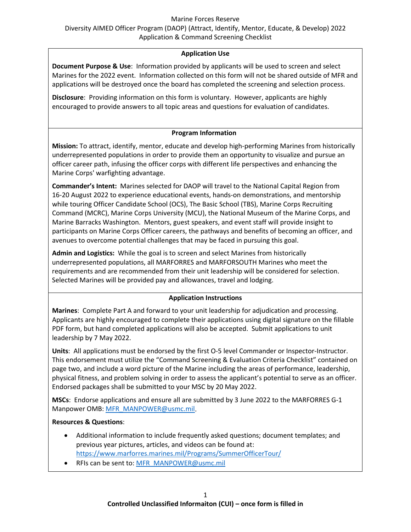#### Marine Forces Reserve

Diversity AIMED Officer Program (DAOP) (Attract, Identify, Mentor, Educate, & Develop) 2022 Application & Command Screening Checklist

## **Application Use**

**Document Purpose & Use**: Information provided by applicants will be used to screen and select Marines for the 2022 event. Information collected on this form will not be shared outside of MFR and applications will be destroyed once the board has completed the screening and selection process.

**Disclosure**: Providing information on this form is voluntary. However, applicants are highly encouraged to provide answers to all topic areas and questions for evaluation of candidates.

## **Program Information**

**Mission:** To attract, identify, mentor, educate and develop high-performing Marines from historically underrepresented populations in order to provide them an opportunity to visualize and pursue an officer career path, infusing the officer corps with different life perspectives and enhancing the Marine Corps' warfighting advantage.

**Commander's Intent:** Marines selected for DAOP will travel to the National Capital Region from 16-20 August 2022 to experience educational events, hands-on demonstrations, and mentorship while touring Officer Candidate School (OCS), The Basic School (TBS), Marine Corps Recruiting Command (MCRC), Marine Corps University (MCU), the National Museum of the Marine Corps, and Marine Barracks Washington. Mentors, guest speakers, and event staff will provide insight to participants on Marine Corps Officer careers, the pathways and benefits of becoming an officer, and avenues to overcome potential challenges that may be faced in pursuing this goal.

**Admin and Logistics:** While the goal is to screen and select Marines from historically underrepresented populations, all MARFORRES and MARFORSOUTH Marines who meet the requirements and are recommended from their unit leadership will be considered for selection. Selected Marines will be provided pay and allowances, travel and lodging.

## **Application Instructions**

**Marines**: Complete Part A and forward to your unit leadership for adjudication and processing. Applicants are highly encouraged to complete their applications using digital signature on the fillable PDF form, but hand completed applications will also be accepted. Submit applications to unit leadership by 7 May 2022.

**Units**: All applications must be endorsed by the first O-5 level Commander or Inspector-Instructor. This endorsement must utilize the "Command Screening & Evaluation Criteria Checklist" contained on page two, and include a word picture of the Marine including the areas of performance, leadership, physical fitness, and problem solving in order to assess the applicant's potential to serve as an officer. Endorsed packages shall be submitted to your MSC by 20 May 2022.

**MSCs**: Endorse applications and ensure all are submitted by 3 June 2022 to the MARFORRES G-1 Manpower OMB: [MFR\\_MANPOWER@usmc.mil.](mailto:MFR_MANPOWER@usmc.mil)

### **Resources & Questions**:

- Additional information to include frequently asked questions; document templates; and previous year pictures, articles, and videos can be found at: <https://www.marforres.marines.mil/Programs/SummerOfficerTour/>
- RFIs can be sent to: [MFR\\_MANPOWER@usmc.mil](mailto:MFR_MANPOWER@usmc.mil)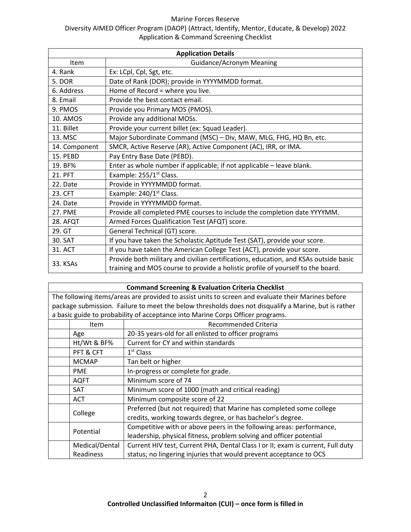#### Marine Forces Reserve

# Diversity AIMED Officer Program (DAOP) (Attract, Identify, Mentor, Educate, & Develop) 2022 Application & Command Screening Checklist

| <b>Application Details</b> |                                                                                                                                                                         |  |  |  |  |  |
|----------------------------|-------------------------------------------------------------------------------------------------------------------------------------------------------------------------|--|--|--|--|--|
| Item                       | <b>Guidance/Acronym Meaning</b>                                                                                                                                         |  |  |  |  |  |
| 4. Rank                    | Ex: LCpl, Cpl, Sgt, etc.                                                                                                                                                |  |  |  |  |  |
| 5. DOR                     | Date of Rank (DOR); provide in YYYYMMDD format.                                                                                                                         |  |  |  |  |  |
| 6. Address                 | Home of Record = where you live.                                                                                                                                        |  |  |  |  |  |
| 8. Email                   | Provide the best contact email.                                                                                                                                         |  |  |  |  |  |
| 9. PMOS                    | Provide you Primary MOS (PMOS).                                                                                                                                         |  |  |  |  |  |
| 10. AMOS                   | Provide any additional MOSs.                                                                                                                                            |  |  |  |  |  |
| 11. Billet                 | Provide your current billet (ex: Squad Leader).                                                                                                                         |  |  |  |  |  |
| 13. MSC                    | Major Subordinate Command (MSC) - Div, MAW, MLG, FHG, HQ Bn, etc.                                                                                                       |  |  |  |  |  |
| 14. Component              | SMCR, Active Reserve (AR), Active Component (AC), IRR, or IMA.                                                                                                          |  |  |  |  |  |
| 15. PEBD                   | Pay Entry Base Date (PEBD).                                                                                                                                             |  |  |  |  |  |
| 19. BF%                    | Enter as whole number if applicable; if not applicable - leave blank.                                                                                                   |  |  |  |  |  |
| 21. PFT                    | Example: 255/1 <sup>st</sup> Class.                                                                                                                                     |  |  |  |  |  |
| 22. Date                   | Provide in YYYYMMDD format.                                                                                                                                             |  |  |  |  |  |
| 23. CFT                    | Example: 240/1 <sup>st</sup> Class.                                                                                                                                     |  |  |  |  |  |
| 24. Date                   | Provide in YYYYMMDD format.                                                                                                                                             |  |  |  |  |  |
| <b>27. PME</b>             | Provide all completed PME courses to include the completion date YYYYMM.                                                                                                |  |  |  |  |  |
| 28. AFQT                   | Armed Forces Qualification Test (AFQT) score.                                                                                                                           |  |  |  |  |  |
| 29. GT                     | General Technical (GT) score.                                                                                                                                           |  |  |  |  |  |
| 30. SAT                    | If you have taken the Scholastic Aptitude Test (SAT), provide your score.                                                                                               |  |  |  |  |  |
| 31. ACT                    | If you have taken the American College Test (ACT), provide your score.                                                                                                  |  |  |  |  |  |
| 33. KSAs                   | Provide both military and civilian certifications, education, and KSAs outside basic<br>training and MOS course to provide a holistic profile of yourself to the board. |  |  |  |  |  |

## **Command Screening & Evaluation Criteria Checklist** The following items/areas are provided to assist units to screen and evaluate their Marines before package submission. Failure to meet the below thresholds does not disqualify a Marine, but is rather a basic guide to probability of acceptance into Marine Corps Officer programs. Item | Recommended Criteria Age 20-35 years-old for all enlisted to officer programs  $Ht/Wt$  & BF%  $\left\vert$  Current for CY and within standards PFT & CFT  $\vert$  1<sup>st</sup> Class MCMAP | Tan belt or higher PME | In-progress or complete for grade. AQFT | Minimum score of 74 SAT Minimum score of 1000 (math and critical reading) ACT Minimum composite score of 22 College Preferred (but not required) that Marine has completed some college credits, working towards degree, or has bachelor's degree. Potential Competitive with or above peers in the following areas: performance, leadership, physical fitness, problem solving and officer potential Medical/Dental Current HIV test, Current PHA, Dental Class I or II; exam is current, Full duty

status; no lingering injuries that would prevent acceptance to OCS

Readiness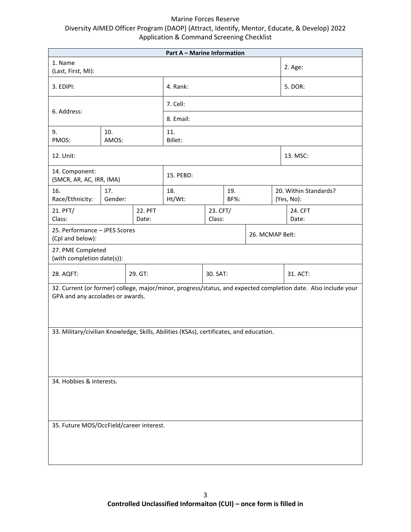## Marine Forces Reserve Diversity AIMED Officer Program (DAOP) (Attract, Identify, Mentor, Educate, & Develop) 2022 Application & Command Screening Checklist

| <b>Part A - Marine Information</b>                                                                                                                 |                |                  |               |                    |             |         |  |                                     |  |
|----------------------------------------------------------------------------------------------------------------------------------------------------|----------------|------------------|---------------|--------------------|-------------|---------|--|-------------------------------------|--|
| 1. Name<br>(Last, First, MI):                                                                                                                      |                |                  |               |                    |             | 2. Age: |  |                                     |  |
| 3. EDIPI:                                                                                                                                          |                |                  | 4. Rank:      |                    |             |         |  | 5. DOR:                             |  |
| 6. Address:                                                                                                                                        |                |                  | 7. Cell:      |                    |             |         |  |                                     |  |
|                                                                                                                                                    |                |                  | 8. Email:     |                    |             |         |  |                                     |  |
| 9.<br>PMOS:                                                                                                                                        | 10.<br>AMOS:   |                  |               | 11.<br>Billet:     |             |         |  |                                     |  |
| 12. Unit:                                                                                                                                          |                |                  |               |                    |             |         |  | 13. MSC:                            |  |
| 14. Component:<br>(SMCR, AR, AC, IRR, IMA)                                                                                                         |                |                  | 15. PEBD:     |                    |             |         |  |                                     |  |
| 16.<br>Race/Ethnicity:                                                                                                                             | 17.<br>Gender: |                  | 18.<br>Ht/Wt: |                    | 19.<br>BF%: |         |  | 20. Within Standards?<br>(Yes, No): |  |
| 21. PFT/<br>Class:                                                                                                                                 |                | 22. PFT<br>Date: |               | 23. CFT/<br>Class: |             |         |  | 24. CFT<br>Date:                    |  |
| 25. Performance - JPES Scores<br>(Cpl and below):                                                                                                  |                | 26. MCMAP Belt:  |               |                    |             |         |  |                                     |  |
| 27. PME Completed<br>(with completion date(s)):                                                                                                    |                |                  |               |                    |             |         |  |                                     |  |
| 28. AQFT:                                                                                                                                          |                | 29. GT:          | 30. SAT:      |                    |             |         |  | 31. ACT:                            |  |
| 32. Current (or former) college, major/minor, progress/status, and expected completion date. Also include your<br>GPA and any accolades or awards. |                |                  |               |                    |             |         |  |                                     |  |
| 33. Military/civilian Knowledge, Skills, Abilities (KSAs), certificates, and education.                                                            |                |                  |               |                    |             |         |  |                                     |  |
| 34. Hobbies & interests.                                                                                                                           |                |                  |               |                    |             |         |  |                                     |  |
| 35. Future MOS/OccField/career interest.                                                                                                           |                |                  |               |                    |             |         |  |                                     |  |